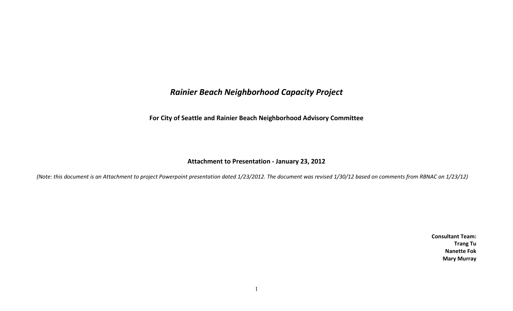## *Rainier Beach Neighborhood Capacity Project*

**For City of Seattle and Rainier Beach Neighborhood Advisory Committee** 

## **Attachment to Presentation - January 23, 2012**

*(Note: this document is an Attachment to project Powerpoint presentation dated 1/23/2012. The document was revised 1/30/12 based on comments from RBNAC on 1/23/12)* 

**Consultant Team: Trang Tu Nanette Fok Mary Murray**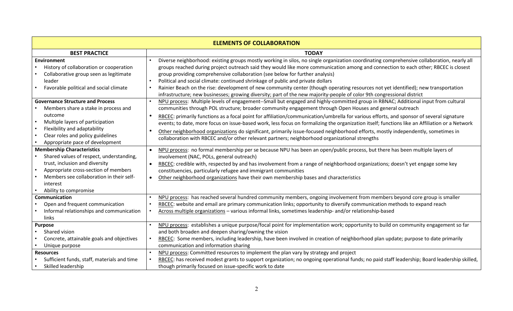| <b>ELEMENTS OF COLLABORATION</b>                                                                                                                     |                                                                                                                                                                                                                                                                                                                                                                                                                                                                                                                                                                                                                                                                                                                      |  |
|------------------------------------------------------------------------------------------------------------------------------------------------------|----------------------------------------------------------------------------------------------------------------------------------------------------------------------------------------------------------------------------------------------------------------------------------------------------------------------------------------------------------------------------------------------------------------------------------------------------------------------------------------------------------------------------------------------------------------------------------------------------------------------------------------------------------------------------------------------------------------------|--|
| <b>BEST PRACTICE</b>                                                                                                                                 | <b>TODAY</b>                                                                                                                                                                                                                                                                                                                                                                                                                                                                                                                                                                                                                                                                                                         |  |
| Environment<br>History of collaboration or cooperation<br>Collaborative group seen as legitimate<br>leader<br>Favorable political and social climate | Diverse neighborhood: existing groups mostly working in silos, no single organization coordinating comprehensive collaboration, nearly all<br>groups reached during project outreach said they would like more communication among and connection to each other; RBCEC is closest<br>group providing comprehensive collaboration (see below for further analysis)<br>Political and social climate: continued shrinkage of public and private dollars<br>Rainier Beach on the rise: development of new community center (though operating resources not yet identified); new transportation<br>infrastructure; new businesses; growing diversity; part of the new majority-people of color 9th congressional district |  |
| <b>Governance Structure and Process</b>                                                                                                              | NPU process: Multiple levels of engagement--Small but engaged and highly-committed group in RBNAC; Additional input from cultural                                                                                                                                                                                                                                                                                                                                                                                                                                                                                                                                                                                    |  |
| Members share a stake in process and                                                                                                                 | communities through POL structure; broader community engagement through Open Houses and general outreach                                                                                                                                                                                                                                                                                                                                                                                                                                                                                                                                                                                                             |  |
| outcome<br>Multiple layers of participation<br>$\bullet$<br>Flexibility and adaptability<br>$\bullet$                                                | RBCEC: primarily functions as a focal point for affiliation/communication/umbrella for various efforts, and sponsor of several signature<br>events; to date, more focus on issue-based work, less focus on formalizing the organization itself; functions like an Affiliation or a Network                                                                                                                                                                                                                                                                                                                                                                                                                           |  |
| Clear roles and policy guidelines<br>Appropriate pace of development                                                                                 | Other neighborhood organizations do significant, primarily issue-focused neighborhood efforts, mostly independently, sometimes in<br>collaboration with RBCEC and/or other relevant partners; neighborhood organizational strengths                                                                                                                                                                                                                                                                                                                                                                                                                                                                                  |  |
| <b>Membership Characteristics</b>                                                                                                                    | NPU process: no formal membership per se because NPU has been an open/public process, but there has been multiple layers of                                                                                                                                                                                                                                                                                                                                                                                                                                                                                                                                                                                          |  |
| Shared values of respect, understanding,                                                                                                             | involvement (NAC, POLs, general outreach)                                                                                                                                                                                                                                                                                                                                                                                                                                                                                                                                                                                                                                                                            |  |
| trust, inclusion and diversity                                                                                                                       | RBCEC: credible with, respected by and has involvement from a range of neighborhood organizations; doesn't yet engage some key                                                                                                                                                                                                                                                                                                                                                                                                                                                                                                                                                                                       |  |
| Appropriate cross-section of members                                                                                                                 | constituencies, particularly refugee and immigrant communities                                                                                                                                                                                                                                                                                                                                                                                                                                                                                                                                                                                                                                                       |  |
| Members see collaboration in their self-<br>$\bullet$<br>interest                                                                                    | Other neighborhood organizations have their own membership bases and characteristics                                                                                                                                                                                                                                                                                                                                                                                                                                                                                                                                                                                                                                 |  |
| Ability to compromise                                                                                                                                |                                                                                                                                                                                                                                                                                                                                                                                                                                                                                                                                                                                                                                                                                                                      |  |
| Communication                                                                                                                                        | NPU process: has reached several hundred community members, ongoing involvement from members beyond core group is smaller                                                                                                                                                                                                                                                                                                                                                                                                                                                                                                                                                                                            |  |
| Open and frequent communication                                                                                                                      | RBCEC: website and email are primary communication links; opportunity to diversify communication methods to expand reach                                                                                                                                                                                                                                                                                                                                                                                                                                                                                                                                                                                             |  |
| Informal relationships and communication<br>links                                                                                                    | Across multiple organizations - various informal links, sometimes leadership- and/or relationship-based                                                                                                                                                                                                                                                                                                                                                                                                                                                                                                                                                                                                              |  |
| <b>Purpose</b>                                                                                                                                       | NPU process: establishes a unique purpose/focal point for implementation work; opportunity to build on community engagement so far                                                                                                                                                                                                                                                                                                                                                                                                                                                                                                                                                                                   |  |
| Shared vision                                                                                                                                        | and both broaden and deepen sharing/owning the vision                                                                                                                                                                                                                                                                                                                                                                                                                                                                                                                                                                                                                                                                |  |
| Concrete, attainable goals and objectives                                                                                                            | RBCEC: Some members, including leadership, have been involved in creation of neighborhood plan update; purpose to date primarily                                                                                                                                                                                                                                                                                                                                                                                                                                                                                                                                                                                     |  |
| Unique purpose                                                                                                                                       | communication and information sharing                                                                                                                                                                                                                                                                                                                                                                                                                                                                                                                                                                                                                                                                                |  |
| <b>Resources</b>                                                                                                                                     | NPU process: Committed resources to implement the plan vary by strategy and project                                                                                                                                                                                                                                                                                                                                                                                                                                                                                                                                                                                                                                  |  |
| Sufficient funds, staff, materials and time                                                                                                          | RBCEC: has received modest grants to support organization; no ongoing operational funds; no paid staff leadership; Board leadership skilled,                                                                                                                                                                                                                                                                                                                                                                                                                                                                                                                                                                         |  |
| Skilled leadership                                                                                                                                   | though primarily focused on issue-specific work to date                                                                                                                                                                                                                                                                                                                                                                                                                                                                                                                                                                                                                                                              |  |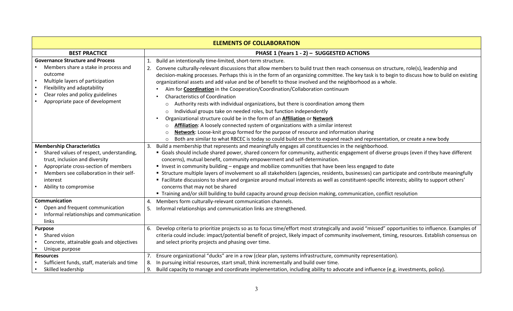| <b>ELEMENTS OF COLLABORATION</b>                                                                                                                                                                                                         |                                                                                                                                                                                                                                                                                                                                                                                                                                                                                                                                                                                                                                                                                                                                                                                                                                                                                                                                                                                                                                                                                                                                                                                                                                 |  |
|------------------------------------------------------------------------------------------------------------------------------------------------------------------------------------------------------------------------------------------|---------------------------------------------------------------------------------------------------------------------------------------------------------------------------------------------------------------------------------------------------------------------------------------------------------------------------------------------------------------------------------------------------------------------------------------------------------------------------------------------------------------------------------------------------------------------------------------------------------------------------------------------------------------------------------------------------------------------------------------------------------------------------------------------------------------------------------------------------------------------------------------------------------------------------------------------------------------------------------------------------------------------------------------------------------------------------------------------------------------------------------------------------------------------------------------------------------------------------------|--|
| <b>BEST PRACTICE</b>                                                                                                                                                                                                                     | PHASE 1 (Years 1 - 2) - SUGGESTED ACTIONS                                                                                                                                                                                                                                                                                                                                                                                                                                                                                                                                                                                                                                                                                                                                                                                                                                                                                                                                                                                                                                                                                                                                                                                       |  |
| <b>Governance Structure and Process</b><br>Members share a stake in process and<br>outcome<br>Multiple layers of participation<br>Flexibility and adaptability<br>Clear roles and policy guidelines<br>Appropriate pace of development   | Build an intentionally time-limited, short-term structure.<br>1.<br>Convene culturally-relevant discussions that allow members to build trust then reach consensus on structure, role(s), leadership and<br>decision-making processes. Perhaps this is in the form of an organizing committee. The key task is to begin to discuss how to build on existing<br>organizational assets and add value and be of benefit to those involved and the neighborhood as a whole.<br>Aim for <b>Coordination</b> in the Cooperation/Coordination/Collaboration continuum<br><b>Characteristics of Coordination</b><br>Authority rests with individual organizations, but there is coordination among them<br>$\circ$<br>Individual groups take on needed roles, but function independently<br>$\circ$<br>Organizational structure could be in the form of an <b>Affiliation</b> or <b>Network</b><br>Affiliation: A loosely connected system of organizations with a similar interest<br>$\circ$<br>Network: Loose-knit group formed for the purpose of resource and information sharing<br>$\circ$<br>Both are similar to what RBCEC is today so could build on that to expand reach and representation, or create a new body<br>$\circ$ |  |
| <b>Membership Characteristics</b><br>Shared values of respect, understanding,<br>trust, inclusion and diversity<br>Appropriate cross-section of members<br>Members see collaboration in their self-<br>interest<br>Ability to compromise | Build a membership that represents and meaningfully engages all constituencies in the neighborhood.<br>" Goals should include shared power, shared concern for community, authentic engagement of diverse groups (even if they have different<br>concerns), mutual benefit, community empowerment and self-determination.<br>Invest in community building - engage and mobilize communities that have been less engaged to date<br>• Structure multiple layers of involvement so all stakeholders (agencies, residents, businesses) can participate and contribute meaningfully<br>" Facilitate discussions to share and organize around mutual interests as well as constituent-specific interests; ability to support others'<br>concerns that may not be shared<br>" Training and/or skill building to build capacity around group decision making, communication, conflict resolution                                                                                                                                                                                                                                                                                                                                       |  |
| Communication<br>Open and frequent communication<br>Informal relationships and communication<br>links                                                                                                                                    | Members form culturally-relevant communication channels.<br>4.<br>5.<br>Informal relationships and communication links are strengthened.                                                                                                                                                                                                                                                                                                                                                                                                                                                                                                                                                                                                                                                                                                                                                                                                                                                                                                                                                                                                                                                                                        |  |
| <b>Purpose</b><br>Shared vision<br>$\bullet$<br>Concrete, attainable goals and objectives<br>$\bullet$<br>Unique purpose                                                                                                                 | Develop criteria to prioritize projects so as to focus time/effort most strategically and avoid "missed" opportunities to influence. Examples of<br>6.<br>criteria could include: impact/potential benefit of project, likely impact of community involvement, timing, resources. Establish consensus on<br>and select priority projects and phasing over time.                                                                                                                                                                                                                                                                                                                                                                                                                                                                                                                                                                                                                                                                                                                                                                                                                                                                 |  |
| <b>Resources</b><br>Sufficient funds, staff, materials and time<br>Skilled leadership                                                                                                                                                    | Ensure organizational "ducks" are in a row (clear plan, systems infrastructure, community representation).<br>In pursuing initial resources, start small, think incrementally and build over time.<br>Build capacity to manage and coordinate implementation, including ability to advocate and influence (e.g. investments, policy).                                                                                                                                                                                                                                                                                                                                                                                                                                                                                                                                                                                                                                                                                                                                                                                                                                                                                           |  |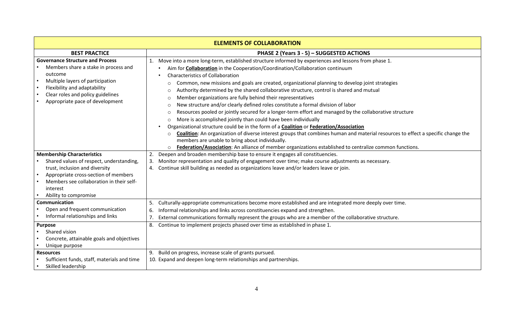| <b>ELEMENTS OF COLLABORATION</b>                                                                                                                                                                                                         |                                                                                                                                                                                                                                                                                                                                                                                                                                                                                                                                                                                                                                                                                                                                                                                                                                                                                                                                                                                                                                                                                                                                                                                                                                                                          |
|------------------------------------------------------------------------------------------------------------------------------------------------------------------------------------------------------------------------------------------|--------------------------------------------------------------------------------------------------------------------------------------------------------------------------------------------------------------------------------------------------------------------------------------------------------------------------------------------------------------------------------------------------------------------------------------------------------------------------------------------------------------------------------------------------------------------------------------------------------------------------------------------------------------------------------------------------------------------------------------------------------------------------------------------------------------------------------------------------------------------------------------------------------------------------------------------------------------------------------------------------------------------------------------------------------------------------------------------------------------------------------------------------------------------------------------------------------------------------------------------------------------------------|
| <b>BEST PRACTICE</b>                                                                                                                                                                                                                     | PHASE 2 (Years 3 - 5) - SUGGESTED ACTIONS                                                                                                                                                                                                                                                                                                                                                                                                                                                                                                                                                                                                                                                                                                                                                                                                                                                                                                                                                                                                                                                                                                                                                                                                                                |
| <b>Governance Structure and Process</b><br>Members share a stake in process and<br>outcome<br>Multiple layers of participation<br>Flexibility and adaptability<br>Clear roles and policy guidelines<br>Appropriate pace of development   | Move into a more long-term, established structure informed by experiences and lessons from phase 1.<br>1.<br>Aim for <b>Collaboration</b> in the Cooperation/Coordination/Collaboration continuum<br><b>Characteristics of Collaboration</b><br>Common, new missions and goals are created, organizational planning to develop joint strategies<br>∩<br>Authority determined by the shared collaborative structure, control is shared and mutual<br>$\Omega$<br>Member organizations are fully behind their representatives<br>$\circ$<br>New structure and/or clearly defined roles constitute a formal division of labor<br>$\circ$<br>Resources pooled or jointly secured for a longer-term effort and managed by the collaborative structure<br>$\circ$<br>More is accomplished jointly than could have been individually<br>$\circ$<br>Organizational structure could be in the form of a <b>Coalition</b> or <b>Federation/Association</b><br>Coalition: An organization of diverse interest groups that combines human and material resources to effect a specific change the<br>$\circ$<br>members are unable to bring about individually.<br>Federation/Association: An alliance of member organizations established to centralize common functions.<br>$\circ$ |
| <b>Membership Characteristics</b><br>Shared values of respect, understanding,<br>trust, inclusion and diversity<br>Appropriate cross-section of members<br>Members see collaboration in their self-<br>interest<br>Ability to compromise | Deepen and broaden membership base to ensure it engages all constituencies.<br>2.<br>Monitor representation and quality of engagement over time; make course adjustments as necessary.<br>3.<br>Continue skill building as needed as organizations leave and/or leaders leave or join.<br>4.                                                                                                                                                                                                                                                                                                                                                                                                                                                                                                                                                                                                                                                                                                                                                                                                                                                                                                                                                                             |
| Communication<br>Open and frequent communication<br>Informal relationships and links                                                                                                                                                     | Culturally-appropriate communications become more established and are integrated more deeply over time.<br>5.<br>Informal relationships and links across constituencies expand and strengthen.<br>6.<br>$\overline{7}$<br>External communications formally represent the groups who are a member of the collaborative structure.<br>Continue to implement projects phased over time as established in phase 1.<br>8.                                                                                                                                                                                                                                                                                                                                                                                                                                                                                                                                                                                                                                                                                                                                                                                                                                                     |
| <b>Purpose</b><br>Shared vision<br>Concrete, attainable goals and objectives<br>Unique purpose                                                                                                                                           |                                                                                                                                                                                                                                                                                                                                                                                                                                                                                                                                                                                                                                                                                                                                                                                                                                                                                                                                                                                                                                                                                                                                                                                                                                                                          |
| <b>Resources</b><br>Sufficient funds, staff, materials and time<br>Skilled leadership                                                                                                                                                    | Build on progress, increase scale of grants pursued.<br>9.<br>10. Expand and deepen long-term relationships and partnerships.                                                                                                                                                                                                                                                                                                                                                                                                                                                                                                                                                                                                                                                                                                                                                                                                                                                                                                                                                                                                                                                                                                                                            |